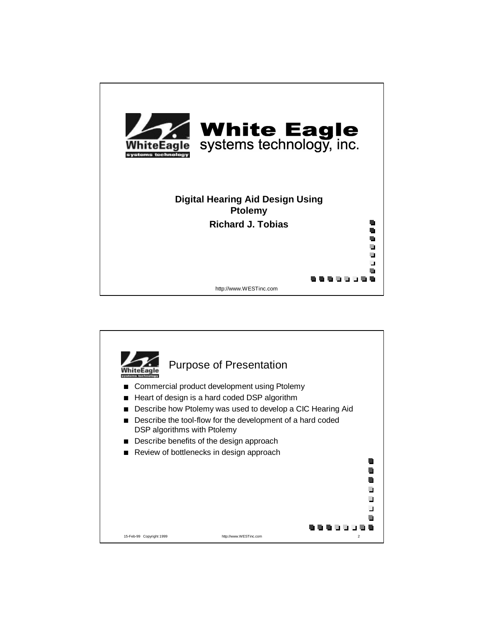

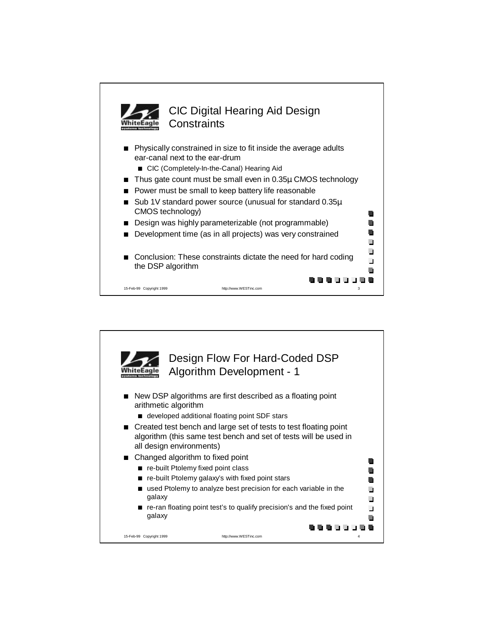

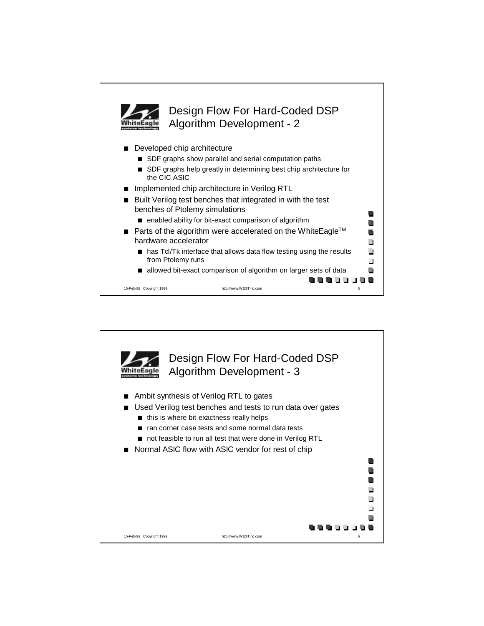

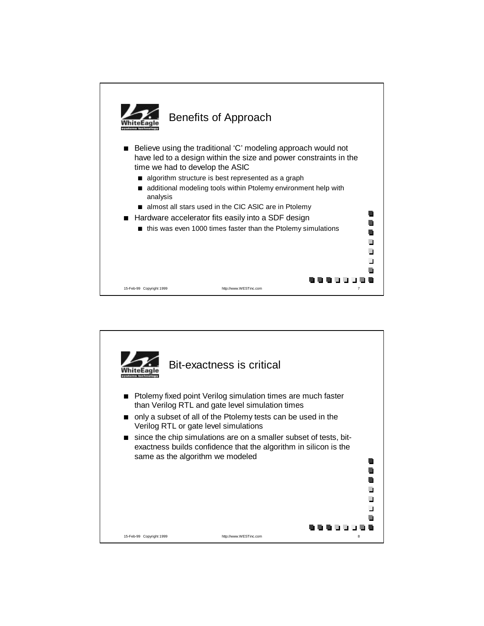